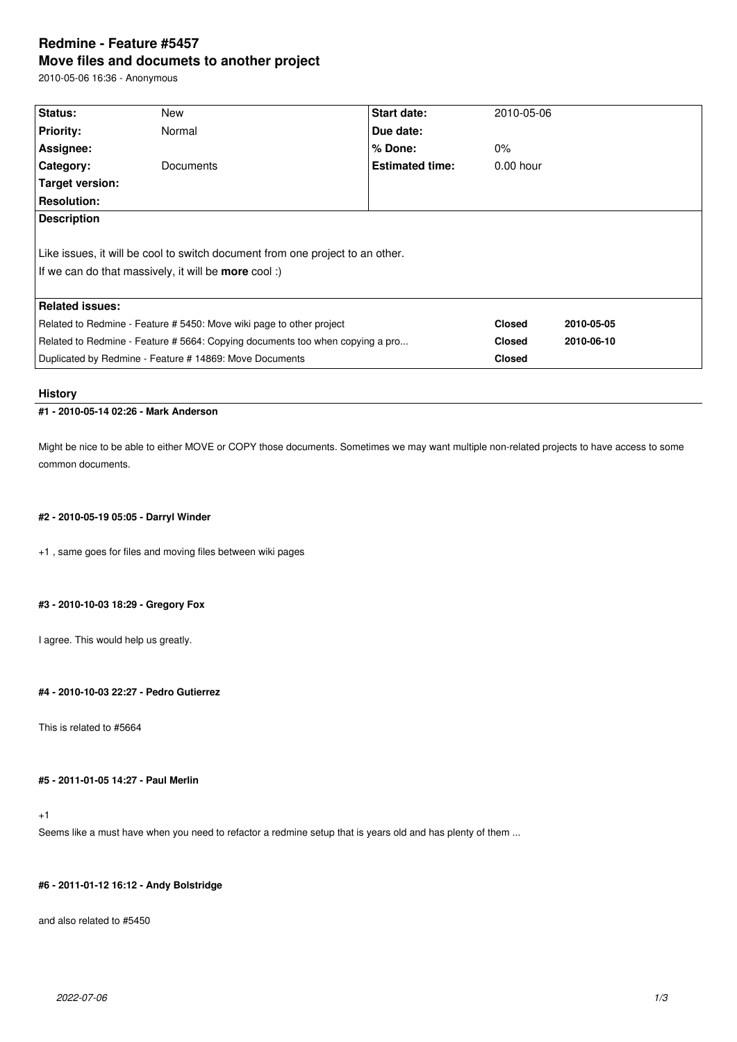# **Redmine - Feature #5457 Move files and documets to another project**

2010-05-06 16:36 - Anonymous

| Status:                                                                       | New                                                                           | <b>Start date:</b>     | 2010-05-06    |            |  |
|-------------------------------------------------------------------------------|-------------------------------------------------------------------------------|------------------------|---------------|------------|--|
| <b>Priority:</b>                                                              | Normal                                                                        | Due date:              |               |            |  |
| Assignee:                                                                     |                                                                               | % Done:                | $0\%$         |            |  |
| Category:                                                                     | Documents                                                                     | <b>Estimated time:</b> | $0.00$ hour   |            |  |
| Target version:                                                               |                                                                               |                        |               |            |  |
| <b>Resolution:</b>                                                            |                                                                               |                        |               |            |  |
| <b>Description</b>                                                            |                                                                               |                        |               |            |  |
|                                                                               |                                                                               |                        |               |            |  |
|                                                                               | Like issues, it will be cool to switch document from one project to an other. |                        |               |            |  |
|                                                                               | If we can do that massively, it will be <b>more</b> cool:)                    |                        |               |            |  |
|                                                                               |                                                                               |                        |               |            |  |
| <b>Related issues:</b>                                                        |                                                                               |                        |               |            |  |
| Related to Redmine - Feature # 5450: Move wiki page to other project          |                                                                               |                        | <b>Closed</b> | 2010-05-05 |  |
| Related to Redmine - Feature # 5664: Copying documents too when copying a pro |                                                                               |                        | <b>Closed</b> | 2010-06-10 |  |
| Duplicated by Redmine - Feature # 14869: Move Documents                       |                                                                               |                        | <b>Closed</b> |            |  |

### **History**

# **#1 - 2010-05-14 02:26 - Mark Anderson**

Might be nice to be able to either MOVE or COPY those documents. Sometimes we may want multiple non-related projects to have access to some common documents.

### **#2 - 2010-05-19 05:05 - Darryl Winder**

+1 , same goes for files and moving files between wiki pages

### **#3 - 2010-10-03 18:29 - Gregory Fox**

I agree. This would help us greatly.

### **#4 - 2010-10-03 22:27 - Pedro Gutierrez**

This is related to #5664

# **#5 - 2011-01-05 14:27 - Paul Merlin**

# +1

Seems like a must have when you need to refactor a redmine setup that is years old and has plenty of them ...

# **#6 - 2011-01-12 16:12 - Andy Bolstridge**

and also related to #5450